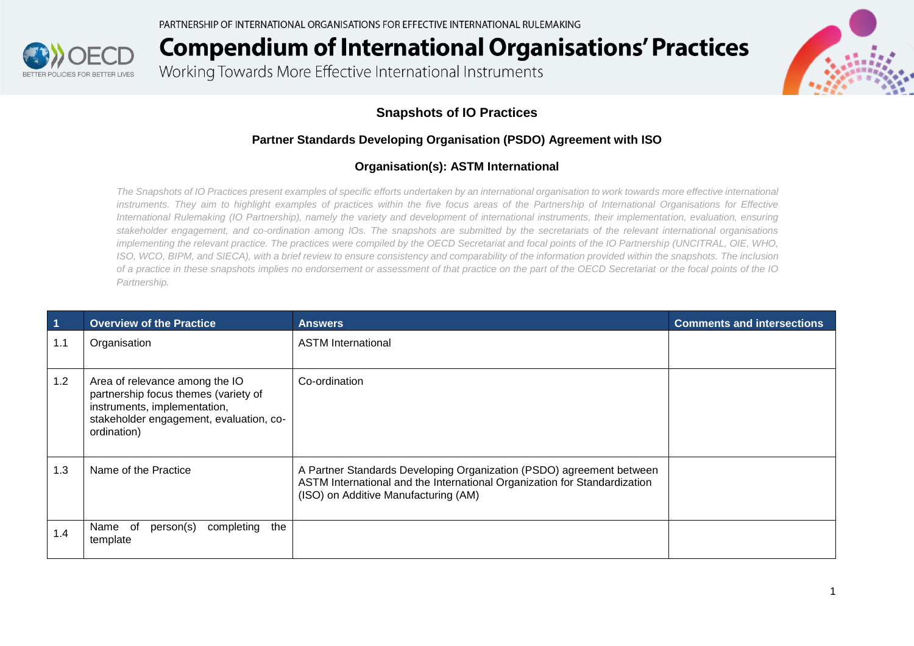

Working Towards More Effective International Instruments

### **Snapshots of IO Practices**

#### **Partner Standards Developing Organisation (PSDO) Agreement with ISO**

#### **Organisation(s): ASTM International**

*The Snapshots of IO Practices present examples of specific efforts undertaken by an international organisation to work towards more effective international*  instruments. They aim to highlight examples of practices within the five focus areas of the Partnership of International Organisations for Effective *International Rulemaking (IO Partnership), namely the variety and development of international instruments, their implementation, evaluation, ensuring stakeholder engagement, and co-ordination among IOs. The snapshots are submitted by the secretariats of the relevant international organisations implementing the relevant practice. The practices were compiled by the OECD Secretariat and focal points of the IO Partnership (UNCITRAL, OIE, WHO, ISO, WCO, BIPM, and SIECA), with a brief review to ensure consistency and comparability of the information provided within the snapshots. The inclusion of a practice in these snapshots implies no endorsement or assessment of that practice on the part of the OECD Secretariat or the focal points of the IO Partnership.*

| $\overline{1}$ | <b>Overview of the Practice</b>                                                                                                                                  | <b>Answers</b>                                                                                                                                                                            | <b>Comments and intersections</b> |
|----------------|------------------------------------------------------------------------------------------------------------------------------------------------------------------|-------------------------------------------------------------------------------------------------------------------------------------------------------------------------------------------|-----------------------------------|
| 1.1            | Organisation                                                                                                                                                     | <b>ASTM</b> International                                                                                                                                                                 |                                   |
| 1.2            | Area of relevance among the IO<br>partnership focus themes (variety of<br>instruments, implementation,<br>stakeholder engagement, evaluation, co-<br>ordination) | Co-ordination                                                                                                                                                                             |                                   |
| 1.3            | Name of the Practice                                                                                                                                             | A Partner Standards Developing Organization (PSDO) agreement between<br>ASTM International and the International Organization for Standardization<br>(ISO) on Additive Manufacturing (AM) |                                   |
| 1.4            | completing<br>the<br>of<br>person(s)<br>Name<br>template                                                                                                         |                                                                                                                                                                                           |                                   |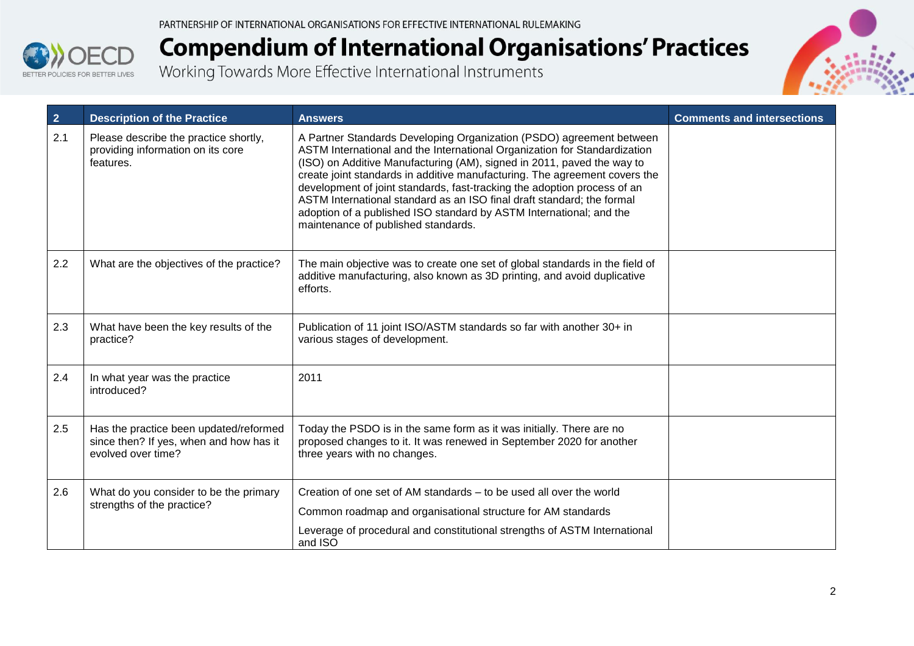



| $\overline{2}$ | <b>Description of the Practice</b>                                                                      | <b>Answers</b>                                                                                                                                                                                                                                                                                                                                                                                                                                                                                                                                                                | <b>Comments and intersections</b> |
|----------------|---------------------------------------------------------------------------------------------------------|-------------------------------------------------------------------------------------------------------------------------------------------------------------------------------------------------------------------------------------------------------------------------------------------------------------------------------------------------------------------------------------------------------------------------------------------------------------------------------------------------------------------------------------------------------------------------------|-----------------------------------|
| 2.1            | Please describe the practice shortly,<br>providing information on its core<br>features.                 | A Partner Standards Developing Organization (PSDO) agreement between<br>ASTM International and the International Organization for Standardization<br>(ISO) on Additive Manufacturing (AM), signed in 2011, paved the way to<br>create joint standards in additive manufacturing. The agreement covers the<br>development of joint standards, fast-tracking the adoption process of an<br>ASTM International standard as an ISO final draft standard; the formal<br>adoption of a published ISO standard by ASTM International; and the<br>maintenance of published standards. |                                   |
| 2.2            | What are the objectives of the practice?                                                                | The main objective was to create one set of global standards in the field of<br>additive manufacturing, also known as 3D printing, and avoid duplicative<br>efforts.                                                                                                                                                                                                                                                                                                                                                                                                          |                                   |
| 2.3            | What have been the key results of the<br>practice?                                                      | Publication of 11 joint ISO/ASTM standards so far with another 30+ in<br>various stages of development.                                                                                                                                                                                                                                                                                                                                                                                                                                                                       |                                   |
| 2.4            | In what year was the practice<br>introduced?                                                            | 2011                                                                                                                                                                                                                                                                                                                                                                                                                                                                                                                                                                          |                                   |
| 2.5            | Has the practice been updated/reformed<br>since then? If yes, when and how has it<br>evolved over time? | Today the PSDO is in the same form as it was initially. There are no<br>proposed changes to it. It was renewed in September 2020 for another<br>three years with no changes.                                                                                                                                                                                                                                                                                                                                                                                                  |                                   |
| 2.6            | What do you consider to be the primary<br>strengths of the practice?                                    | Creation of one set of AM standards – to be used all over the world<br>Common roadmap and organisational structure for AM standards<br>Leverage of procedural and constitutional strengths of ASTM International<br>and ISO                                                                                                                                                                                                                                                                                                                                                   |                                   |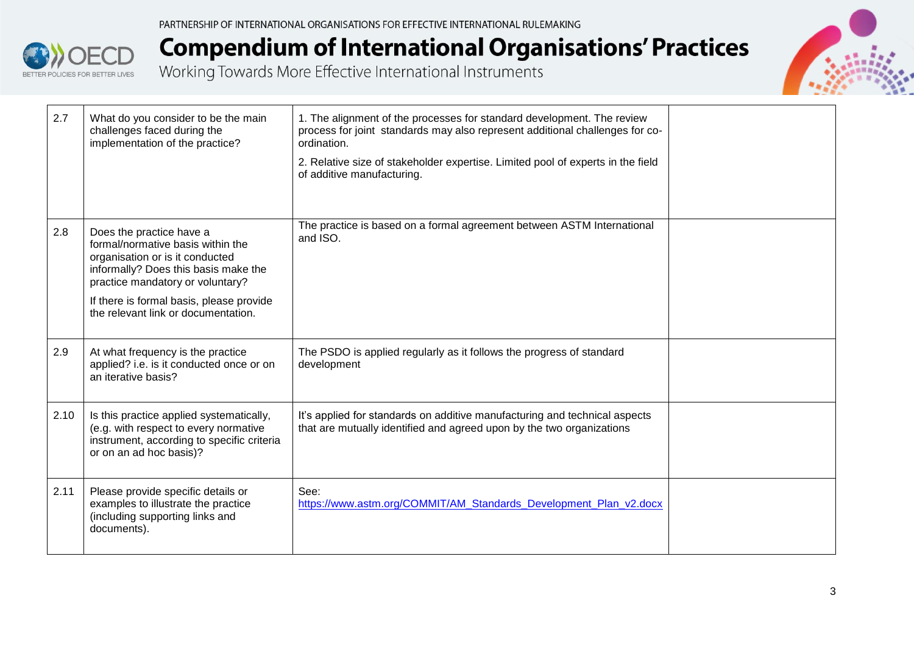

# **Compendium of International Organisations' Practices**<br>Working Towards More Effective International Instruments



| 2.7  | What do you consider to be the main<br>challenges faced during the<br>implementation of the practice?                                                                                                                                                           | 1. The alignment of the processes for standard development. The review<br>process for joint standards may also represent additional challenges for co-<br>ordination.<br>2. Relative size of stakeholder expertise. Limited pool of experts in the field<br>of additive manufacturing. |  |
|------|-----------------------------------------------------------------------------------------------------------------------------------------------------------------------------------------------------------------------------------------------------------------|----------------------------------------------------------------------------------------------------------------------------------------------------------------------------------------------------------------------------------------------------------------------------------------|--|
| 2.8  | Does the practice have a<br>formal/normative basis within the<br>organisation or is it conducted<br>informally? Does this basis make the<br>practice mandatory or voluntary?<br>If there is formal basis, please provide<br>the relevant link or documentation. | The practice is based on a formal agreement between ASTM International<br>and ISO.                                                                                                                                                                                                     |  |
| 2.9  | At what frequency is the practice<br>applied? i.e. is it conducted once or on<br>an iterative basis?                                                                                                                                                            | The PSDO is applied regularly as it follows the progress of standard<br>development                                                                                                                                                                                                    |  |
| 2.10 | Is this practice applied systematically,<br>(e.g. with respect to every normative<br>instrument, according to specific criteria<br>or on an ad hoc basis)?                                                                                                      | It's applied for standards on additive manufacturing and technical aspects<br>that are mutually identified and agreed upon by the two organizations                                                                                                                                    |  |
| 2.11 | Please provide specific details or<br>examples to illustrate the practice<br>(including supporting links and<br>documents).                                                                                                                                     | See:<br>https://www.astm.org/COMMIT/AM Standards Development Plan v2.docx                                                                                                                                                                                                              |  |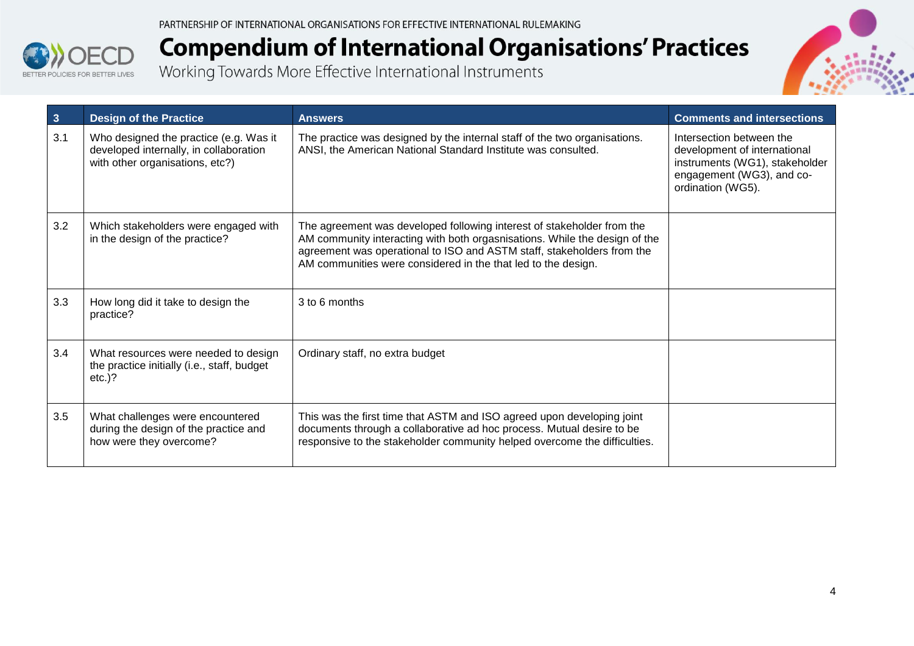



| $\mathbf{3}$ | <b>Design of the Practice</b>                                                                                       | <b>Answers</b>                                                                                                                                                                                                                                                                                  | <b>Comments and intersections</b>                                                                                                            |
|--------------|---------------------------------------------------------------------------------------------------------------------|-------------------------------------------------------------------------------------------------------------------------------------------------------------------------------------------------------------------------------------------------------------------------------------------------|----------------------------------------------------------------------------------------------------------------------------------------------|
| 3.1          | Who designed the practice (e.g. Was it<br>developed internally, in collaboration<br>with other organisations, etc?) | The practice was designed by the internal staff of the two organisations.<br>ANSI, the American National Standard Institute was consulted.                                                                                                                                                      | Intersection between the<br>development of international<br>instruments (WG1), stakeholder<br>engagement (WG3), and co-<br>ordination (WG5). |
| 3.2          | Which stakeholders were engaged with<br>in the design of the practice?                                              | The agreement was developed following interest of stakeholder from the<br>AM community interacting with both orgasnisations. While the design of the<br>agreement was operational to ISO and ASTM staff, stakeholders from the<br>AM communities were considered in the that led to the design. |                                                                                                                                              |
| 3.3          | How long did it take to design the<br>practice?                                                                     | 3 to 6 months                                                                                                                                                                                                                                                                                   |                                                                                                                                              |
| 3.4          | What resources were needed to design<br>the practice initially (i.e., staff, budget<br>$etc.$ )?                    | Ordinary staff, no extra budget                                                                                                                                                                                                                                                                 |                                                                                                                                              |
| 3.5          | What challenges were encountered<br>during the design of the practice and<br>how were they overcome?                | This was the first time that ASTM and ISO agreed upon developing joint<br>documents through a collaborative ad hoc process. Mutual desire to be<br>responsive to the stakeholder community helped overcome the difficulties.                                                                    |                                                                                                                                              |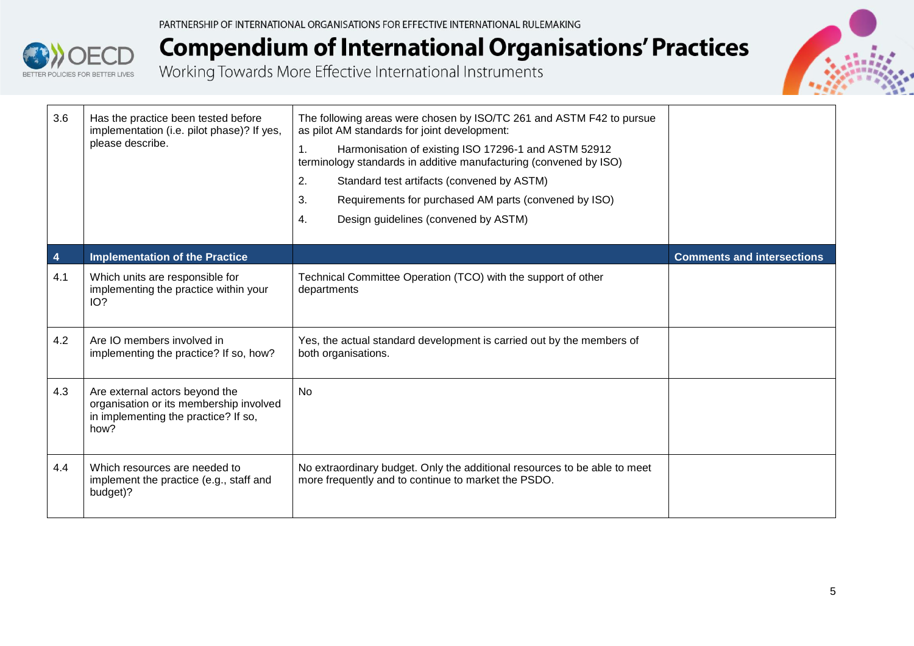

# **Compendium of International Organisations' Practices**<br>Working Towards More Effective International Instruments



| 3.6 | Has the practice been tested before<br>implementation (i.e. pilot phase)? If yes,<br>please describe.                     | The following areas were chosen by ISO/TC 261 and ASTM F42 to pursue<br>as pilot AM standards for joint development:<br>Harmonisation of existing ISO 17296-1 and ASTM 52912<br>1.<br>terminology standards in additive manufacturing (convened by ISO)<br>2.<br>Standard test artifacts (convened by ASTM)<br>3.<br>Requirements for purchased AM parts (convened by ISO)<br>$\overline{4}$ .<br>Design guidelines (convened by ASTM) |                                   |
|-----|---------------------------------------------------------------------------------------------------------------------------|----------------------------------------------------------------------------------------------------------------------------------------------------------------------------------------------------------------------------------------------------------------------------------------------------------------------------------------------------------------------------------------------------------------------------------------|-----------------------------------|
| 4   | <b>Implementation of the Practice</b>                                                                                     |                                                                                                                                                                                                                                                                                                                                                                                                                                        | <b>Comments and intersections</b> |
| 4.1 | Which units are responsible for<br>implementing the practice within your<br>IO?                                           | Technical Committee Operation (TCO) with the support of other<br>departments                                                                                                                                                                                                                                                                                                                                                           |                                   |
| 4.2 | Are IO members involved in<br>implementing the practice? If so, how?                                                      | Yes, the actual standard development is carried out by the members of<br>both organisations.                                                                                                                                                                                                                                                                                                                                           |                                   |
| 4.3 | Are external actors beyond the<br>organisation or its membership involved<br>in implementing the practice? If so,<br>how? | <b>No</b>                                                                                                                                                                                                                                                                                                                                                                                                                              |                                   |
| 4.4 | Which resources are needed to<br>implement the practice (e.g., staff and<br>budget)?                                      | No extraordinary budget. Only the additional resources to be able to meet<br>more frequently and to continue to market the PSDO.                                                                                                                                                                                                                                                                                                       |                                   |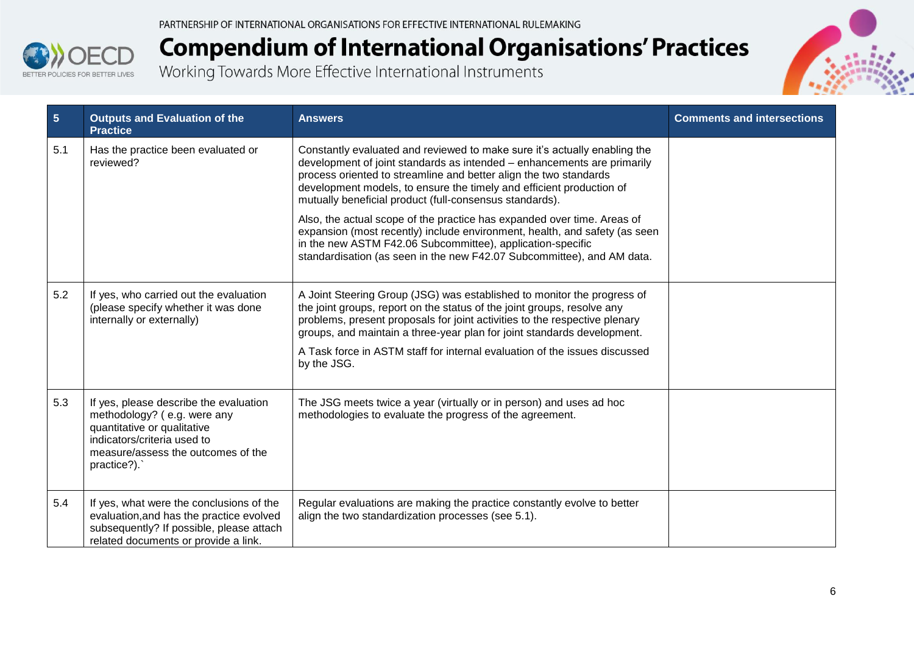



| $5\phantom{.0}$<br><b>Practice</b>                                               | <b>Outputs and Evaluation of the</b>                                                                                                                                     | <b>Answers</b>                                                                                                                                                                                                                                                                                                                                                                                           | <b>Comments and intersections</b> |
|----------------------------------------------------------------------------------|--------------------------------------------------------------------------------------------------------------------------------------------------------------------------|----------------------------------------------------------------------------------------------------------------------------------------------------------------------------------------------------------------------------------------------------------------------------------------------------------------------------------------------------------------------------------------------------------|-----------------------------------|
| 5.1<br>reviewed?                                                                 | Has the practice been evaluated or                                                                                                                                       | Constantly evaluated and reviewed to make sure it's actually enabling the<br>development of joint standards as intended - enhancements are primarily<br>process oriented to streamline and better align the two standards<br>development models, to ensure the timely and efficient production of<br>mutually beneficial product (full-consensus standards).                                             |                                   |
|                                                                                  |                                                                                                                                                                          | Also, the actual scope of the practice has expanded over time. Areas of<br>expansion (most recently) include environment, health, and safety (as seen<br>in the new ASTM F42.06 Subcommittee), application-specific<br>standardisation (as seen in the new F42.07 Subcommittee), and AM data.                                                                                                            |                                   |
| 5.2<br>internally or externally)                                                 | If yes, who carried out the evaluation<br>(please specify whether it was done                                                                                            | A Joint Steering Group (JSG) was established to monitor the progress of<br>the joint groups, report on the status of the joint groups, resolve any<br>problems, present proposals for joint activities to the respective plenary<br>groups, and maintain a three-year plan for joint standards development.<br>A Task force in ASTM staff for internal evaluation of the issues discussed<br>by the JSG. |                                   |
| 5.3<br>quantitative or qualitative<br>indicators/criteria used to<br>practice?). | If yes, please describe the evaluation<br>methodology? (e.g. were any<br>measure/assess the outcomes of the                                                              | The JSG meets twice a year (virtually or in person) and uses ad hoc<br>methodologies to evaluate the progress of the agreement.                                                                                                                                                                                                                                                                          |                                   |
| 5.4                                                                              | If yes, what were the conclusions of the<br>evaluation, and has the practice evolved<br>subsequently? If possible, please attach<br>related documents or provide a link. | Regular evaluations are making the practice constantly evolve to better<br>align the two standardization processes (see 5.1).                                                                                                                                                                                                                                                                            |                                   |